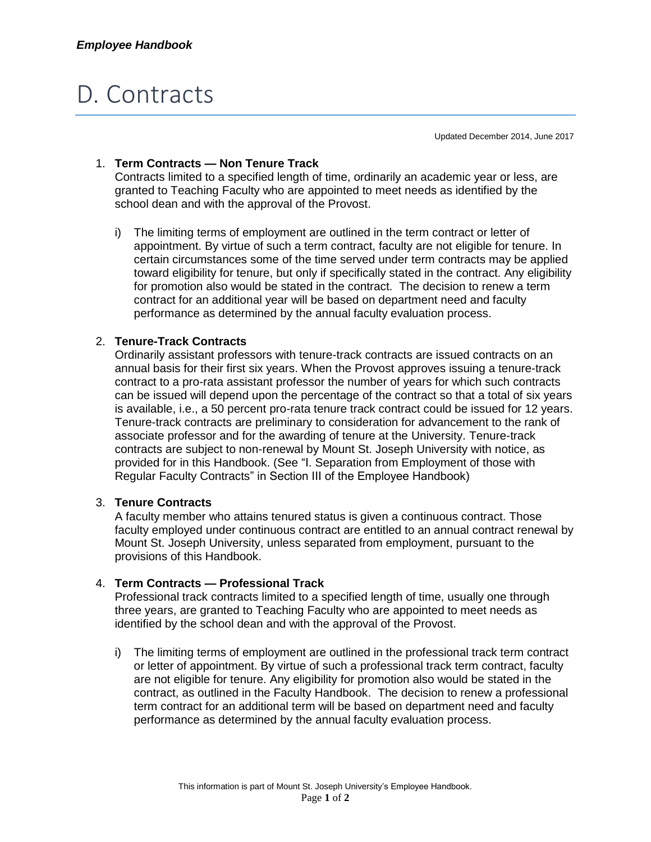# D. Contracts

Updated December 2014, June 2017

## 1. **Term Contracts — Non Tenure Track**

Contracts limited to a specified length of time, ordinarily an academic year or less, are granted to Teaching Faculty who are appointed to meet needs as identified by the school dean and with the approval of the Provost.

i) The limiting terms of employment are outlined in the term contract or letter of appointment. By virtue of such a term contract, faculty are not eligible for tenure. In certain circumstances some of the time served under term contracts may be applied toward eligibility for tenure, but only if specifically stated in the contract. Any eligibility for promotion also would be stated in the contract. The decision to renew a term contract for an additional year will be based on department need and faculty performance as determined by the annual faculty evaluation process.

## 2. **Tenure-Track Contracts**

Ordinarily assistant professors with tenure-track contracts are issued contracts on an annual basis for their first six years. When the Provost approves issuing a tenure-track contract to a pro-rata assistant professor the number of years for which such contracts can be issued will depend upon the percentage of the contract so that a total of six years is available, i.e., a 50 percent pro-rata tenure track contract could be issued for 12 years. Tenure-track contracts are preliminary to consideration for advancement to the rank of associate professor and for the awarding of tenure at the University. Tenure-track contracts are subject to non-renewal by Mount St. Joseph University with notice, as provided for in this Handbook. (See "I. Separation from Employment of those with Regular Faculty Contracts" in Section III of the Employee Handbook)

#### 3. **Tenure Contracts**

A faculty member who attains tenured status is given a continuous contract. Those faculty employed under continuous contract are entitled to an annual contract renewal by Mount St. Joseph University, unless separated from employment, pursuant to the provisions of this Handbook.

#### 4. **Term Contracts — Professional Track**

Professional track contracts limited to a specified length of time, usually one through three years, are granted to Teaching Faculty who are appointed to meet needs as identified by the school dean and with the approval of the Provost.

i) The limiting terms of employment are outlined in the professional track term contract or letter of appointment. By virtue of such a professional track term contract, faculty are not eligible for tenure. Any eligibility for promotion also would be stated in the contract, as outlined in the Faculty Handbook. The decision to renew a professional term contract for an additional term will be based on department need and faculty performance as determined by the annual faculty evaluation process.